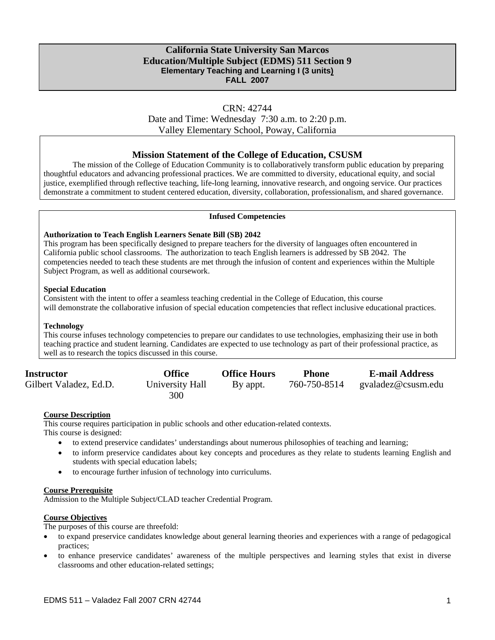## **California State University San Marcos Education/Multiple Subject (EDMS) 511 Section 9 Elementary Teaching and Learning I (3 units) FALL 2007**

## CRN: 42744

Date and Time: Wednesday 7:30 a.m. to 2:20 p.m. Valley Elementary School, Poway, California

### **Mission Statement of the College of Education, CSUSM**

The mission of the College of Education Community is to collaboratively transform public education by preparing thoughtful educators and advancing professional practices. We are committed to diversity, educational equity, and social justice, exemplified through reflective teaching, life-long learning, innovative research, and ongoing service. Our practices demonstrate a commitment to student centered education, diversity, collaboration, professionalism, and shared governance.

#### **Infused Competencies**

#### **Authorization to Teach English Learners Senate Bill (SB) 2042**

This program has been specifically designed to prepare teachers for the diversity of languages often encountered in California public school classrooms. The authorization to teach English learners is addressed by SB 2042. The competencies needed to teach these students are met through the infusion of content and experiences within the Multiple Subject Program, as well as additional coursework.

#### **Special Education**

Consistent with the intent to offer a seamless teaching credential in the College of Education, this course will demonstrate the collaborative infusion of special education competencies that reflect inclusive educational practices.

#### **Technology**

This course infuses technology competencies to prepare our candidates to use technologies, emphasizing their use in both teaching practice and student learning. Candidates are expected to use technology as part of their professional practice, as well as to research the topics discussed in this course.

| <b>Instructor</b>      | <b>Office</b>   | <b>Office Hours</b> | Phone        | <b>E-mail Address</b> |
|------------------------|-----------------|---------------------|--------------|-----------------------|
| Gilbert Valadez, Ed.D. | University Hall | By appt.            | 760-750-8514 | gvaladez@csusm.edu    |
|                        | 300             |                     |              |                       |

#### **Course Description**

This course requires participation in public schools and other education-related contexts.

This course is designed:

- to extend preservice candidates' understandings about numerous philosophies of teaching and learning;
- to inform preservice candidates about key concepts and procedures as they relate to students learning English and students with special education labels;
- to encourage further infusion of technology into curriculums.

#### **Course Prerequisite**

Admission to the Multiple Subject/CLAD teacher Credential Program.

## **Course Objectives**

The purposes of this course are threefold:

- to expand preservice candidates knowledge about general learning theories and experiences with a range of pedagogical practices;
- to enhance preservice candidates' awareness of the multiple perspectives and learning styles that exist in diverse classrooms and other education-related settings;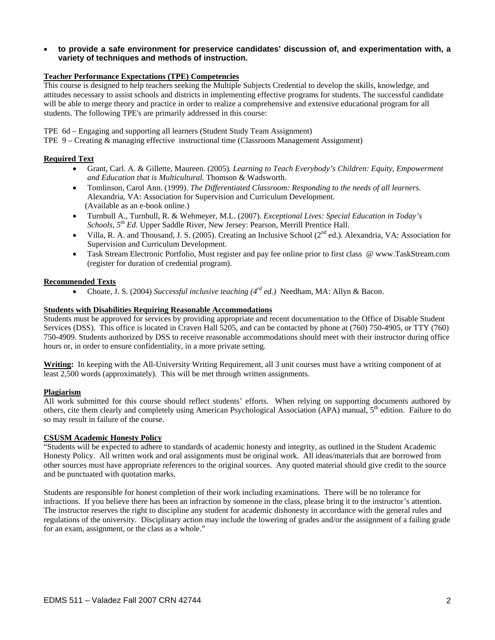• **to provide a safe environment for preservice candidates' discussion of, and experimentation with, a variety of techniques and methods of instruction.**

#### **Teacher Performance Expectations (TPE) Competencies**

This course is designed to help teachers seeking the Multiple Subjects Credential to develop the skills, knowledge, and attitudes necessary to assist schools and districts in implementing effective programs for students. The successful candidate will be able to merge theory and practice in order to realize a comprehensive and extensive educational program for all students. The following TPE's are primarily addressed in this course:

TPE 6d – Engaging and supporting all learners (Student Study Team Assignment)

TPE 9 – Creating & managing effective instructional time (Classroom Management Assignment)

#### **Required Text**

- Grant, Carl. A. & Gillette, Maureen. (2005). *Learning to Teach Everybody's Children: Equity, Empowerment and Education that is Multicultural.* Thomson & Wadsworth.
- Tomlinson, Carol Ann. (1999). *The Differentiated Classroom: Responding to the needs of all learners.*  Alexandria, VA: Association for Supervision and Curriculum Development. (Available as an e-book online.)
- Turnbull A., Turnbull, R. & Wehmeyer, M.L. (2007). *Exceptional Lives: Special Education in Today's Schools, 5th Ed*. Upper Saddle River, New Jersey: Pearson, Merrill Prentice Hall.
- Villa, R. A. and Thousand, J. S. (2005). Creating an Inclusive School ( $2<sup>nd</sup>$  ed.). Alexandria, VA: Association for Supervision and Curriculum Development.
- Task Stream Electronic Portfolio, Must register and pay fee online prior to first class @ www.TaskStream.com (register for duration of credential program).

#### **Recommended Texts**

• Choate, J. S. (2004) *Successful inclusive teaching (4rd ed.)* Needham, MA: Allyn & Bacon.

#### **Students with Disabilities Requiring Reasonable Accommodations**

Students must be approved for services by providing appropriate and recent documentation to the Office of Disable Student Services (DSS). This office is located in Craven Hall 5205, and can be contacted by phone at (760) 750-4905, or TTY (760) 750-4909. Students authorized by DSS to receive reasonable accommodations should meet with their instructor during office hours or, in order to ensure confidentiality, in a more private setting.

**Writing:** In keeping with the All-University Writing Requirement, all 3 unit courses must have a writing component of at least 2,500 words (approximately). This will be met through written assignments.

#### **Plagiarism**

All work submitted for this course should reflect students' efforts. When relying on supporting documents authored by others, cite them clearly and completely using American Psychological Association (APA) manual,  $5<sup>th</sup>$  edition. Failure to do so may result in failure of the course.

#### **CSUSM Academic Honesty Policy**

"Students will be expected to adhere to standards of academic honesty and integrity, as outlined in the Student Academic Honesty Policy. All written work and oral assignments must be original work. All ideas/materials that are borrowed from other sources must have appropriate references to the original sources. Any quoted material should give credit to the source and be punctuated with quotation marks.

Students are responsible for honest completion of their work including examinations. There will be no tolerance for infractions. If you believe there has been an infraction by someone in the class, please bring it to the instructor's attention. The instructor reserves the right to discipline any student for academic dishonesty in accordance with the general rules and regulations of the university. Disciplinary action may include the lowering of grades and/or the assignment of a failing grade for an exam, assignment, or the class as a whole."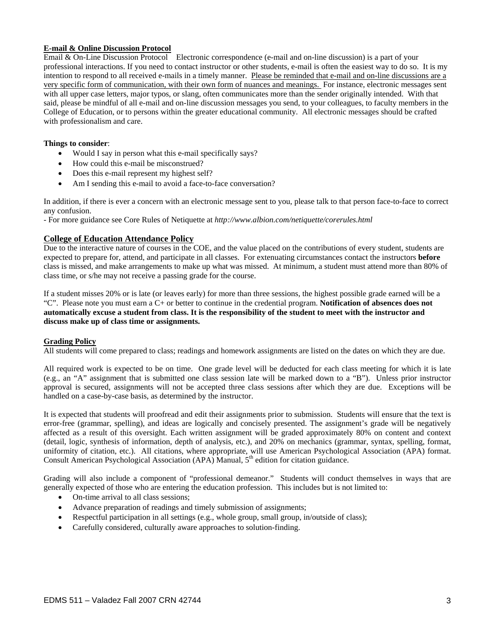#### **E-mail & Online Discussion Protocol**

Email & On-Line Discussion Protocol Electronic correspondence (e-mail and on-line discussion) is a part of your professional interactions. If you need to contact instructor or other students, e-mail is often the easiest way to do so. It is my intention to respond to all received e-mails in a timely manner. Please be reminded that e-mail and on-line discussions are a very specific form of communication, with their own form of nuances and meanings. For instance, electronic messages sent with all upper case letters, major typos, or slang, often communicates more than the sender originally intended. With that said, please be mindful of all e-mail and on-line discussion messages you send, to your colleagues, to faculty members in the College of Education, or to persons within the greater educational community. All electronic messages should be crafted with professionalism and care.

#### **Things to consider**:

- Would I say in person what this e-mail specifically says?
- How could this e-mail be misconstrued?
- Does this e-mail represent my highest self?
- Am I sending this e-mail to avoid a face-to-face conversation?

In addition, if there is ever a concern with an electronic message sent to you, please talk to that person face-to-face to correct any confusion.

- For more guidance see Core Rules of Netiquette at *http://www.albion.com/netiquette/corerules.html* 

#### **College of Education Attendance Policy**

Due to the interactive nature of courses in the COE, and the value placed on the contributions of every student, students are expected to prepare for, attend, and participate in all classes. For extenuating circumstances contact the instructors **before** class is missed, and make arrangements to make up what was missed. At minimum, a student must attend more than 80% of class time, or s/he may not receive a passing grade for the course.

If a student misses 20% or is late (or leaves early) for more than three sessions, the highest possible grade earned will be a "C". Please note you must earn a C+ or better to continue in the credential program. **Notification of absences does not automatically excuse a student from class. It is the responsibility of the student to meet with the instructor and discuss make up of class time or assignments.** 

#### **Grading Policy**

All students will come prepared to class; readings and homework assignments are listed on the dates on which they are due.

All required work is expected to be on time. One grade level will be deducted for each class meeting for which it is late (e.g., an "A" assignment that is submitted one class session late will be marked down to a "B"). Unless prior instructor approval is secured, assignments will not be accepted three class sessions after which they are due. Exceptions will be handled on a case-by-case basis, as determined by the instructor.

It is expected that students will proofread and edit their assignments prior to submission. Students will ensure that the text is error-free (grammar, spelling), and ideas are logically and concisely presented. The assignment's grade will be negatively affected as a result of this oversight. Each written assignment will be graded approximately 80% on content and context (detail, logic, synthesis of information, depth of analysis, etc.), and 20% on mechanics (grammar, syntax, spelling, format, uniformity of citation, etc.). All citations, where appropriate, will use American Psychological Association (APA) format. Consult American Psychological Association (APA) Manual,  $5<sup>th</sup>$  edition for citation guidance.

Grading will also include a component of "professional demeanor." Students will conduct themselves in ways that are generally expected of those who are entering the education profession. This includes but is not limited to:

- On-time arrival to all class sessions;
- Advance preparation of readings and timely submission of assignments;
- Respectful participation in all settings (e.g., whole group, small group, in/outside of class);
- Carefully considered, culturally aware approaches to solution-finding.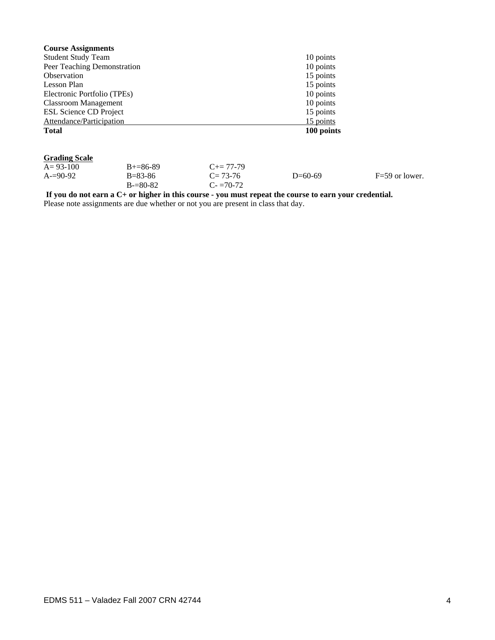| <b>Course Assignments</b>     |            |
|-------------------------------|------------|
| <b>Student Study Team</b>     | 10 points  |
| Peer Teaching Demonstration   | 10 points  |
| Observation                   | 15 points  |
| Lesson Plan                   | 15 points  |
| Electronic Portfolio (TPEs)   | 10 points  |
| <b>Classroom Management</b>   | 10 points  |
| <b>ESL Science CD Project</b> | 15 points  |
| Attendance/Participation      | 15 points  |
| <b>Total</b>                  | 100 points |

### **Grading Scale**

| $A=93-100$ | $B+=86-89$    | $C_{\pm} = 77 - 79$ |           |                  |
|------------|---------------|---------------------|-----------|------------------|
| $A=90-92$  | $B = 83 - 86$ | $C = 73-76$         | $D=60-69$ | $F=59$ or lower. |
|            | $B = 80-82$   | $C = 70-72$         |           |                  |

**If you do not earn a C+ or higher in this course - you must repeat the course to earn your credential.**  Please note assignments are due whether or not you are present in class that day.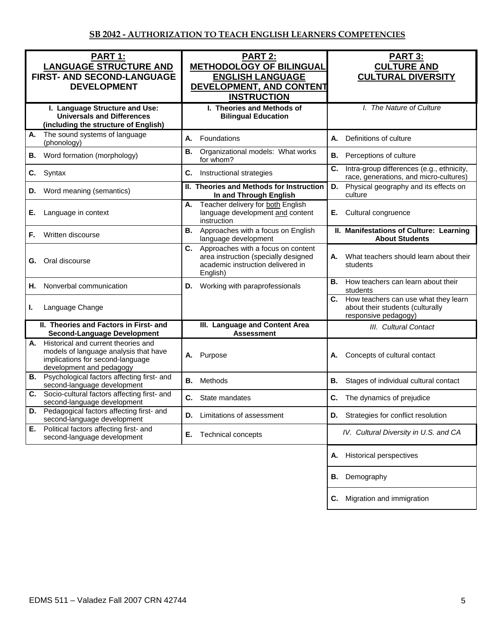| PART 1:<br><b>LANGUAGE STRUCTURE AND</b><br>FIRST- AND SECOND-LANGUAGE<br><b>DEVELOPMENT</b>                                                       | <b>PART 2:</b><br><b>METHODOLOGY OF BILINGUAL</b><br><b>ENGLISH LANGUAGE</b><br>DEVELOPMENT, AND CONTENT<br><b>INSTRUCTION</b>    | <b>PART 3:</b><br><b>CULTURE AND</b><br><b>CULTURAL DIVERSITY</b>                                   |  |
|----------------------------------------------------------------------------------------------------------------------------------------------------|-----------------------------------------------------------------------------------------------------------------------------------|-----------------------------------------------------------------------------------------------------|--|
| I. Language Structure and Use:<br><b>Universals and Differences</b><br>(including the structure of English)                                        | I. Theories and Methods of<br><b>Bilingual Education</b>                                                                          | I. The Nature of Culture                                                                            |  |
| The sound systems of language<br>А.<br>(phonology)                                                                                                 | А.<br>Foundations                                                                                                                 | <b>A.</b><br>Definitions of culture                                                                 |  |
| Word formation (morphology)<br>В.                                                                                                                  | Organizational models: What works<br>В.<br>for whom?                                                                              | <b>B.</b><br>Perceptions of culture                                                                 |  |
| Syntax<br>C.                                                                                                                                       | C.<br>Instructional strategies                                                                                                    | C.<br>Intra-group differences (e.g., ethnicity,<br>race, generations, and micro-cultures)           |  |
| Word meaning (semantics)<br>D.                                                                                                                     | II. Theories and Methods for Instruction<br>In and Through English                                                                | Physical geography and its effects on<br>D.<br>culture                                              |  |
| Language in context<br>Е.                                                                                                                          | Teacher delivery for both English<br>А.<br>language development and content<br>instruction                                        | Cultural congruence<br>Е.                                                                           |  |
| Written discourse<br>F.                                                                                                                            | Approaches with a focus on English<br>В.<br>language development                                                                  | II. Manifestations of Culture: Learning<br><b>About Students</b>                                    |  |
| Oral discourse<br>G.                                                                                                                               | C.<br>Approaches with a focus on content<br>area instruction (specially designed<br>academic instruction delivered in<br>English) | What teachers should learn about their<br>А.<br>students                                            |  |
| Nonverbal communication<br>Н.                                                                                                                      | Working with paraprofessionals<br>D.                                                                                              | How teachers can learn about their<br>В.<br>students                                                |  |
| Language Change<br>ı.                                                                                                                              |                                                                                                                                   | C. How teachers can use what they learn<br>about their students (culturally<br>responsive pedagogy) |  |
| II. Theories and Factors in First- and<br><b>Second-Language Development</b>                                                                       | III. Language and Content Area<br><b>Assessment</b>                                                                               | III. Cultural Contact                                                                               |  |
| Historical and current theories and<br>А.<br>models of language analysis that have<br>implications for second-language<br>development and pedagogy | A. Purpose                                                                                                                        | Concepts of cultural contact<br>А.                                                                  |  |
| <b>B.</b> Psychological factors affecting first- and<br>second-language development                                                                | Methods<br>В.                                                                                                                     | <b>B.</b><br>Stages of individual cultural contact                                                  |  |
| Socio-cultural factors affecting first- and<br>C.<br>second-language development                                                                   | С.<br>State mandates                                                                                                              | C.<br>The dynamics of prejudice                                                                     |  |
| Pedagogical factors affecting first- and<br>second-language development                                                                            | Limitations of assessment<br>D.                                                                                                   | D. Strategies for conflict resolution                                                               |  |
| Political factors affecting first- and<br>Е.<br>second-language development                                                                        | Technical concepts<br>Е.                                                                                                          | IV. Cultural Diversity in U.S. and CA                                                               |  |
|                                                                                                                                                    |                                                                                                                                   | <b>Historical perspectives</b><br>А.                                                                |  |
|                                                                                                                                                    |                                                                                                                                   | Demography<br>В.                                                                                    |  |
|                                                                                                                                                    |                                                                                                                                   | Migration and immigration<br>C.                                                                     |  |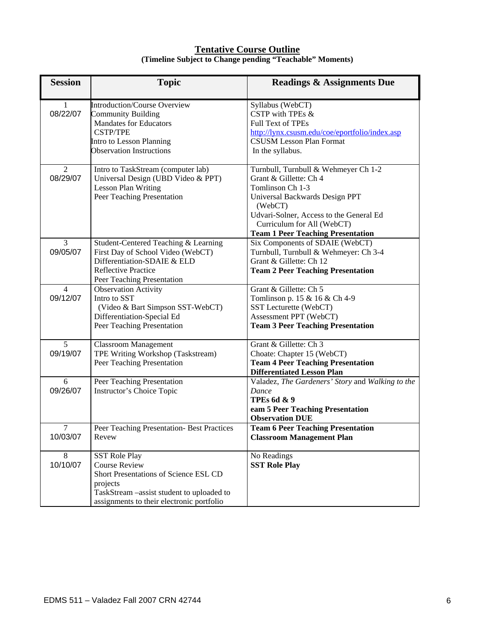## **Tentative Course Outline (Timeline Subject to Change pending "Teachable" Moments)**

| <b>Session</b>             | <b>Topic</b>                                                                                                                                                                                | <b>Readings &amp; Assignments Due</b>                                                                                                                                                                                                                |
|----------------------------|---------------------------------------------------------------------------------------------------------------------------------------------------------------------------------------------|------------------------------------------------------------------------------------------------------------------------------------------------------------------------------------------------------------------------------------------------------|
| $\mathbf{1}$<br>08/22/07   | <b>Introduction/Course Overview</b><br><b>Community Building</b><br><b>Mandates for Educators</b><br><b>CSTP/TPE</b><br>Intro to Lesson Planning<br><b>Observation Instructions</b>         | Syllabus (WebCT)<br>CSTP with TPEs &<br><b>Full Text of TPEs</b><br>http://lynx.csusm.edu/coe/eportfolio/index.asp<br><b>CSUSM Lesson Plan Format</b><br>In the syllabus.                                                                            |
| 2<br>08/29/07              | Intro to TaskStream (computer lab)<br>Universal Design (UBD Video & PPT)<br><b>Lesson Plan Writing</b><br>Peer Teaching Presentation                                                        | Turnbull, Turnbull & Wehmeyer Ch 1-2<br>Grant & Gillette: Ch 4<br>Tomlinson Ch 1-3<br>Universal Backwards Design PPT<br>(WebCT)<br>Udvari-Solner, Access to the General Ed<br>Curriculum for All (WebCT)<br><b>Team 1 Peer Teaching Presentation</b> |
| $\overline{3}$<br>09/05/07 | Student-Centered Teaching & Learning<br>First Day of School Video (WebCT)<br>Differentiation-SDAIE & ELD<br><b>Reflective Practice</b><br>Peer Teaching Presentation                        | Six Components of SDAIE (WebCT)<br>Turnbull, Turnbull & Wehmeyer: Ch 3-4<br>Grant & Gillette: Ch 12<br><b>Team 2 Peer Teaching Presentation</b>                                                                                                      |
| $\overline{4}$<br>09/12/07 | Observation Activity<br>Intro to SST<br>(Video & Bart Simpson SST-WebCT)<br>Differentiation-Special Ed<br>Peer Teaching Presentation                                                        | Grant & Gillette: Ch 5<br>Tomlinson p. 15 & 16 & Ch 4-9<br>SST Lecturette (WebCT)<br>Assessment PPT (WebCT)<br><b>Team 3 Peer Teaching Presentation</b>                                                                                              |
| 5<br>09/19/07              | <b>Classroom Management</b><br>TPE Writing Workshop (Taskstream)<br>Peer Teaching Presentation                                                                                              | Grant & Gillette: Ch 3<br>Choate: Chapter 15 (WebCT)<br><b>Team 4 Peer Teaching Presentation</b><br><b>Differentiated Lesson Plan</b>                                                                                                                |
| 6<br>09/26/07              | Peer Teaching Presentation<br>Instructor's Choice Topic                                                                                                                                     | Valadez, The Gardeners' Story and Walking to the<br>Dance<br><b>TPEs 6d &amp; 9</b><br>eam 5 Peer Teaching Presentation<br><b>Observation DUE</b>                                                                                                    |
| $\tau$<br>10/03/07         | Peer Teaching Presentation- Best Practices<br>Revew                                                                                                                                         | <b>Team 6 Peer Teaching Presentation</b><br><b>Classroom Management Plan</b>                                                                                                                                                                         |
| 8<br>10/10/07              | <b>SST Role Play</b><br><b>Course Review</b><br>Short Presentations of Science ESL CD<br>projects<br>TaskStream -assist student to uploaded to<br>assignments to their electronic portfolio | No Readings<br><b>SST Role Play</b>                                                                                                                                                                                                                  |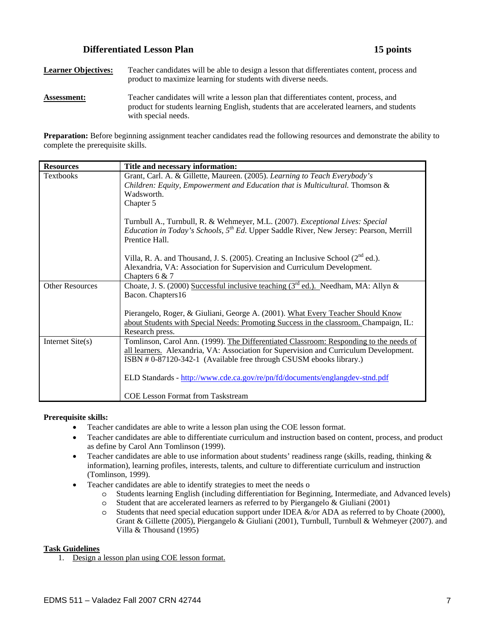## **Differentiated Lesson Plan 15 points**

**Learner Objectives:** Teacher candidates will be able to design a lesson that differentiates content, process and product to maximize learning for students with diverse needs. Assessment: Teacher candidates will write a lesson plan that differentiates content, process, and product for students learning English, students that are accelerated learners, and students with special needs.

**Preparation:** Before beginning assignment teacher candidates read the following resources and demonstrate the ability to complete the prerequisite skills.

| <b>Resources</b>       | Title and necessary information:                                                                                                                                                                                                                      |
|------------------------|-------------------------------------------------------------------------------------------------------------------------------------------------------------------------------------------------------------------------------------------------------|
| <b>Textbooks</b>       | Grant, Carl. A. & Gillette, Maureen. (2005). Learning to Teach Everybody's<br>Children: Equity, Empowerment and Education that is Multicultural. Thomson &<br>Wadsworth.<br>Chapter 5                                                                 |
|                        | Turnbull A., Turnbull, R. & Wehmeyer, M.L. (2007). Exceptional Lives: Special<br><i>Education in Today's Schools,</i> $5^{th}$ <i>Ed.</i> Upper Saddle River, New Jersey: Pearson, Merrill<br>Prentice Hall.                                          |
|                        | Villa, R. A. and Thousand, J. S. (2005). Creating an Inclusive School $(2^{nd}$ ed.).<br>Alexandria, VA: Association for Supervision and Curriculum Development.<br>Chapters $6 & 7$                                                                  |
| <b>Other Resources</b> | Choate, J. S. (2000) Successful inclusive teaching $3rd$ ed.). Needham, MA: Allyn &<br>Bacon. Chapters16                                                                                                                                              |
|                        | Pierangelo, Roger, & Giuliani, George A. (2001). What Every Teacher Should Know<br>about Students with Special Needs: Promoting Success in the classroom. Champaign, IL:<br>Research press.                                                           |
| Internet Site(s)       | Tomlinson, Carol Ann. (1999). The Differentiated Classroom: Responding to the needs of<br>all learners. Alexandria, VA: Association for Supervision and Curriculum Development.<br>ISBN #0-87120-342-1 (Available free through CSUSM ebooks library.) |
|                        | ELD Standards - http://www.cde.ca.gov/re/pn/fd/documents/englangdev-stnd.pdf<br><b>COE Lesson Format from Taskstream</b>                                                                                                                              |
|                        |                                                                                                                                                                                                                                                       |

#### **Prerequisite skills:**

- Teacher candidates are able to write a lesson plan using the COE lesson format.
- Teacher candidates are able to differentiate curriculum and instruction based on content, process, and product as define by Carol Ann Tomlinson (1999).
- Teacher candidates are able to use information about students' readiness range (skills, reading, thinking & information), learning profiles, interests, talents, and culture to differentiate curriculum and instruction (Tomlinson, 1999).
- Teacher candidates are able to identify strategies to meet the needs o
	- o Students learning English (including differentiation for Beginning, Intermediate, and Advanced levels)
	- o Student that are accelerated learners as referred to by Piergangelo & Giuliani (2001)
	- o Students that need special education support under IDEA &/or ADA as referred to by Choate (2000), Grant & Gillette (2005), Piergangelo & Giuliani (2001), Turnbull, Turnbull & Wehmeyer (2007). and Villa & Thousand (1995)

#### **Task Guidelines**

1. Design a lesson plan using COE lesson format.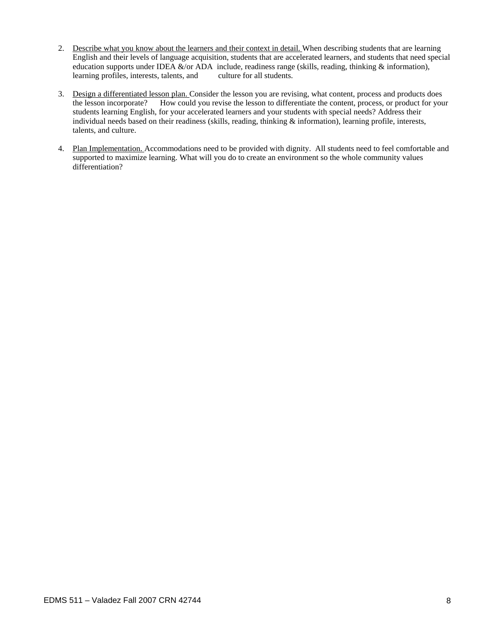- 2. Describe what you know about the learners and their context in detail. When describing students that are learning English and their levels of language acquisition, students that are accelerated learners, and students that need special education supports under IDEA &/or ADA include, readiness range (skills, reading, thinking & information), learning profiles, interests, talents, and culture for all students.
- 3. Design a differentiated lesson plan. Consider the lesson you are revising, what content, process and products does the lesson incorporate? How could you revise the lesson to differentiate the content, process, or product for your students learning English, for your accelerated learners and your students with special needs? Address their individual needs based on their readiness (skills, reading, thinking  $\&$  information), learning profile, interests, talents, and culture.
- 4. Plan Implementation. Accommodations need to be provided with dignity. All students need to feel comfortable and supported to maximize learning. What will you do to create an environment so the whole community values differentiation?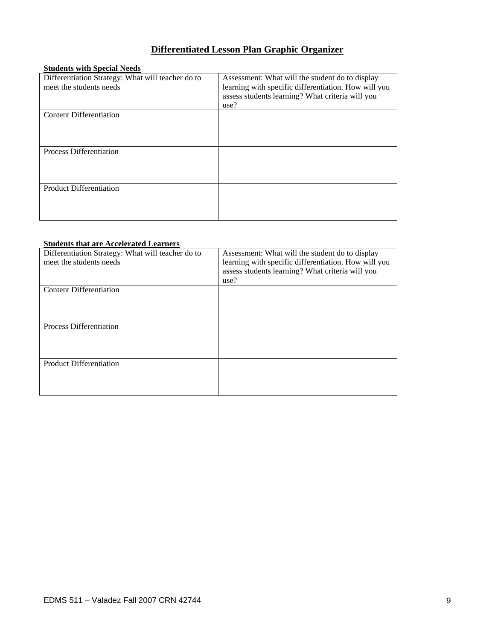## **Differentiated Lesson Plan Graphic Organizer**

## **Students with Special Needs**

| Differentiation Strategy: What will teacher do to<br>meet the students needs | Assessment: What will the student do to display<br>learning with specific differentiation. How will you<br>assess students learning? What criteria will you<br>use? |
|------------------------------------------------------------------------------|---------------------------------------------------------------------------------------------------------------------------------------------------------------------|
| <b>Content Differentiation</b>                                               |                                                                                                                                                                     |
| Process Differentiation                                                      |                                                                                                                                                                     |
| <b>Product Differentiation</b>                                               |                                                                                                                                                                     |

### **Students that are Accelerated Learners**

| Differentiation Strategy: What will teacher do to<br>meet the students needs | Assessment: What will the student do to display<br>learning with specific differentiation. How will you<br>assess students learning? What criteria will you<br>use? |
|------------------------------------------------------------------------------|---------------------------------------------------------------------------------------------------------------------------------------------------------------------|
| Content Differentiation                                                      |                                                                                                                                                                     |
| Process Differentiation                                                      |                                                                                                                                                                     |
| <b>Product Differentiation</b>                                               |                                                                                                                                                                     |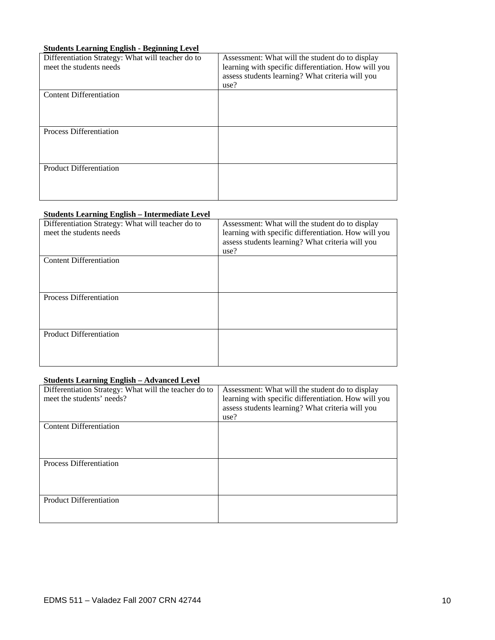## **Students Learning English - Beginning Level**

| Differentiation Strategy: What will teacher do to<br>meet the students needs | Assessment: What will the student do to display<br>learning with specific differentiation. How will you<br>assess students learning? What criteria will you<br>use? |
|------------------------------------------------------------------------------|---------------------------------------------------------------------------------------------------------------------------------------------------------------------|
| <b>Content Differentiation</b>                                               |                                                                                                                                                                     |
| Process Differentiation                                                      |                                                                                                                                                                     |
| <b>Product Differentiation</b>                                               |                                                                                                                                                                     |

## **Students Learning English – Intermediate Level**

| Differentiation Strategy: What will teacher do to<br>meet the students needs | Assessment: What will the student do to display<br>learning with specific differentiation. How will you<br>assess students learning? What criteria will you<br>use? |
|------------------------------------------------------------------------------|---------------------------------------------------------------------------------------------------------------------------------------------------------------------|
| <b>Content Differentiation</b>                                               |                                                                                                                                                                     |
| <b>Process Differentiation</b>                                               |                                                                                                                                                                     |
| <b>Product Differentiation</b>                                               |                                                                                                                                                                     |

## **Students Learning English – Advanced Level**

| Differentiation Strategy: What will the teacher do to<br>meet the students' needs? | Assessment: What will the student do to display<br>learning with specific differentiation. How will you<br>assess students learning? What criteria will you |
|------------------------------------------------------------------------------------|-------------------------------------------------------------------------------------------------------------------------------------------------------------|
|                                                                                    | use?                                                                                                                                                        |
| <b>Content Differentiation</b>                                                     |                                                                                                                                                             |
| Process Differentiation                                                            |                                                                                                                                                             |
| Product Differentiation                                                            |                                                                                                                                                             |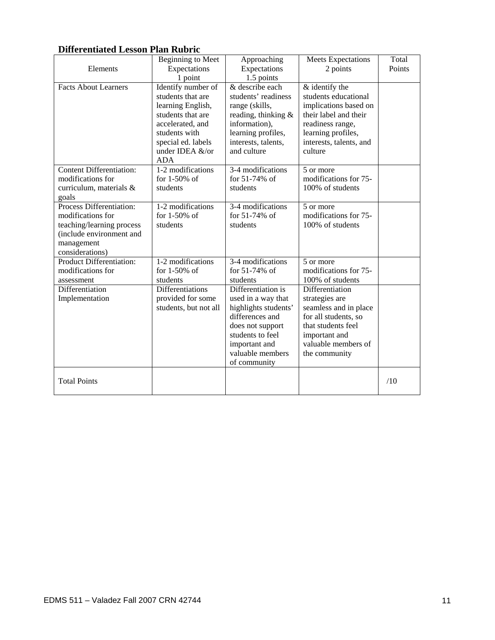## **Differentiated Lesson Plan Rubric**

|                                                                                                                                         | Beginning to Meet                                                                                                                                                             | Approaching                                                                                                                                                                      | <b>Meets Expectations</b>                                                                                                                                                | Total  |
|-----------------------------------------------------------------------------------------------------------------------------------------|-------------------------------------------------------------------------------------------------------------------------------------------------------------------------------|----------------------------------------------------------------------------------------------------------------------------------------------------------------------------------|--------------------------------------------------------------------------------------------------------------------------------------------------------------------------|--------|
| Elements                                                                                                                                | Expectations                                                                                                                                                                  | Expectations                                                                                                                                                                     | 2 points                                                                                                                                                                 | Points |
| <b>Facts About Learners</b>                                                                                                             | 1 point                                                                                                                                                                       | 1.5 points<br>& describe each                                                                                                                                                    |                                                                                                                                                                          |        |
|                                                                                                                                         | Identify number of<br>students that are<br>learning English,<br>students that are<br>accelerated, and<br>students with<br>special ed. labels<br>under IDEA &/or<br><b>ADA</b> | students' readiness<br>range (skills,<br>reading, thinking &<br>information),<br>learning profiles,<br>interests, talents,<br>and culture                                        | & identify the<br>students educational<br>implications based on<br>their label and their<br>readiness range,<br>learning profiles,<br>interests, talents, and<br>culture |        |
| <b>Content Differentiation:</b><br>modifications for<br>curriculum, materials &<br>goals                                                | 1-2 modifications<br>for $1-50\%$ of<br>students                                                                                                                              | 3-4 modifications<br>for 51-74% of<br>students                                                                                                                                   | 5 or more<br>modifications for 75-<br>100% of students                                                                                                                   |        |
| Process Differentiation:<br>modifications for<br>teaching/learning process<br>(include environment and<br>management<br>considerations) | 1-2 modifications<br>for $1-50\%$ of<br>students                                                                                                                              | 3-4 modifications<br>for 51-74% of<br>students                                                                                                                                   | 5 or more<br>modifications for 75-<br>100% of students                                                                                                                   |        |
| <b>Product Differentiation:</b><br>modifications for<br>assessment                                                                      | 1-2 modifications<br>for $1-50\%$ of<br>students                                                                                                                              | 3-4 modifications<br>for 51-74% of<br>students                                                                                                                                   | 5 or more<br>modifications for 75-<br>100% of students                                                                                                                   |        |
| Differentiation<br>Implementation                                                                                                       | Differentiations<br>provided for some<br>students, but not all                                                                                                                | Differentiation is<br>used in a way that<br>highlights students'<br>differences and<br>does not support<br>students to feel<br>important and<br>valuable members<br>of community | Differentiation<br>strategies are<br>seamless and in place<br>for all students, so<br>that students feel<br>important and<br>valuable members of<br>the community        |        |
| <b>Total Points</b>                                                                                                                     |                                                                                                                                                                               |                                                                                                                                                                                  |                                                                                                                                                                          | /10    |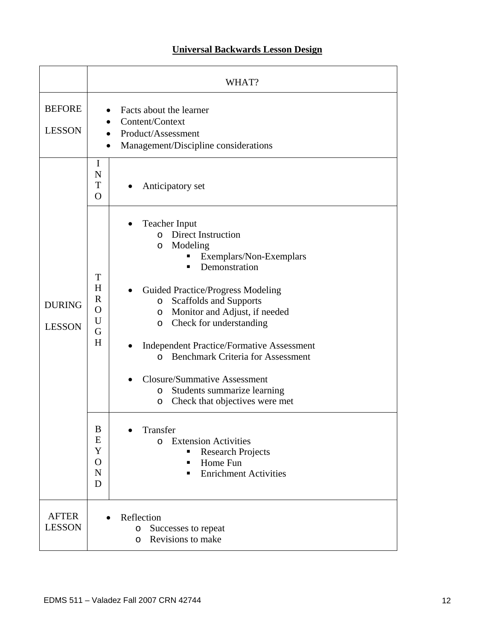## **Universal Backwards Lesson Design**

|                                | WHAT?                                                                                                                                                                                                                                                                                                                                                                                                                                                                                                                                                                       |  |  |
|--------------------------------|-----------------------------------------------------------------------------------------------------------------------------------------------------------------------------------------------------------------------------------------------------------------------------------------------------------------------------------------------------------------------------------------------------------------------------------------------------------------------------------------------------------------------------------------------------------------------------|--|--|
| <b>BEFORE</b><br><b>LESSON</b> | Facts about the learner<br>Content/Context<br>Product/Assessment<br>Management/Discipline considerations<br>$\bullet$                                                                                                                                                                                                                                                                                                                                                                                                                                                       |  |  |
|                                | I<br>N<br>T<br>Anticipatory set<br>$\Omega$                                                                                                                                                                                                                                                                                                                                                                                                                                                                                                                                 |  |  |
| <b>DURING</b><br><b>LESSON</b> | <b>Teacher Input</b><br>$\bullet$<br>o Direct Instruction<br>Modeling<br>O<br>Exemplars/Non-Exemplars<br>Demonstration<br>T<br>H<br><b>Guided Practice/Progress Modeling</b><br>$\mathbf R$<br>Scaffolds and Supports<br>$\circ$<br>$\overline{O}$<br>Monitor and Adjust, if needed<br>O<br>U<br>Check for understanding<br>$\circ$<br>G<br>H<br><b>Independent Practice/Formative Assessment</b><br><b>Benchmark Criteria for Assessment</b><br>$\Omega$<br><b>Closure/Summative Assessment</b><br>Students summarize learning<br>O<br>Check that objectives were met<br>O |  |  |
|                                | B<br>Transfer<br>E<br><b>Extension Activities</b><br>$\circ$<br>Y<br><b>Research Projects</b><br>٠<br>$\mathbf{O}$<br>Home Fun<br>٠<br>$\mathbf N$<br><b>Enrichment Activities</b><br>D                                                                                                                                                                                                                                                                                                                                                                                     |  |  |
| <b>AFTER</b><br><b>LESSON</b>  | Reflection<br>Successes to repeat<br>O<br>Revisions to make<br>$\circ$                                                                                                                                                                                                                                                                                                                                                                                                                                                                                                      |  |  |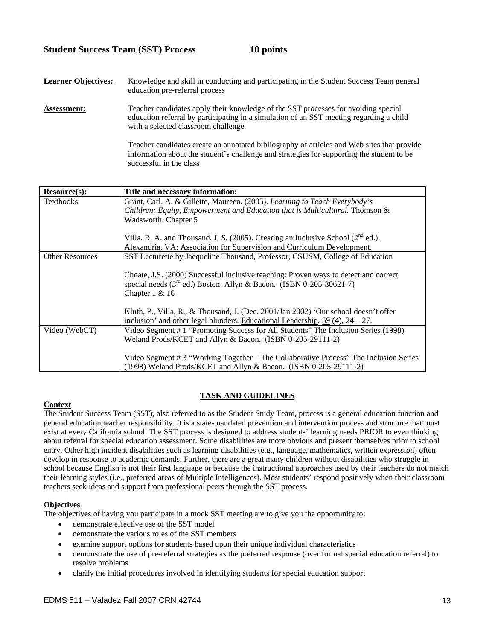## **Student Success Team (SST) Process 10 points**

| <b>Learner Objectives:</b> | Knowledge and skill in conducting and participating in the Student Success Team general<br>education pre-referral process                                                                                             |
|----------------------------|-----------------------------------------------------------------------------------------------------------------------------------------------------------------------------------------------------------------------|
| Assessment:                | Teacher candidates apply their knowledge of the SST processes for avoiding special<br>education referral by participating in a simulation of an SST meeting regarding a child<br>with a selected classroom challenge. |
|                            | Teacher candidates create an annotated bibliography of articles and Web sites that provide<br>information about the student's challenge and strategies for supporting the student to be<br>successful in the class    |

| <b>Resource(s):</b>    | Title and necessary information:                                                                                                                                                     |
|------------------------|--------------------------------------------------------------------------------------------------------------------------------------------------------------------------------------|
| <b>Textbooks</b>       | Grant, Carl. A. & Gillette, Maureen. (2005). Learning to Teach Everybody's                                                                                                           |
|                        | Children: Equity, Empowerment and Education that is Multicultural. Thomson &                                                                                                         |
|                        | Wadsworth. Chapter 5                                                                                                                                                                 |
|                        | Villa, R. A. and Thousand, J. S. (2005). Creating an Inclusive School (2 <sup>nd</sup> ed.).                                                                                         |
|                        | Alexandria, VA: Association for Supervision and Curriculum Development.                                                                                                              |
| <b>Other Resources</b> | SST Lecturette by Jacqueline Thousand, Professor, CSUSM, College of Education                                                                                                        |
|                        | Choate, J.S. (2000) Successful inclusive teaching: Proven ways to detect and correct<br>special needs $(3^{rd}$ ed.) Boston: Allyn & Bacon. (ISBN 0-205-30621-7)<br>Chapter $1 & 16$ |
|                        | Kluth, P., Villa, R., & Thousand, J. (Dec. 2001/Jan 2002) 'Our school doesn't offer<br>inclusion' and other legal blunders. Educational Leadership, $59(4)$ , $24-27$ .              |
| Video (WebCT)          | Video Segment # 1 "Promoting Success for All Students" The Inclusion Series (1998)<br>Weland Prods/KCET and Allyn & Bacon. (ISBN 0-205-29111-2)                                      |
|                        | Video Segment # 3 "Working Together – The Collaborative Process" The Inclusion Series<br>(1998) Weland Prods/KCET and Allyn & Bacon. (ISBN 0-205-29111-2)                            |

## **TASK AND GUIDELINES**

## **Context**

The Student Success Team (SST), also referred to as the Student Study Team, process is a general education function and general education teacher responsibility. It is a state-mandated prevention and intervention process and structure that must exist at every California school. The SST process is designed to address students' learning needs PRIOR to even thinking about referral for special education assessment. Some disabilities are more obvious and present themselves prior to school entry. Other high incident disabilities such as learning disabilities (e.g., language, mathematics, written expression) often develop in response to academic demands. Further, there are a great many children without disabilities who struggle in school because English is not their first language or because the instructional approaches used by their teachers do not match their learning styles (i.e., preferred areas of Multiple Intelligences). Most students' respond positively when their classroom teachers seek ideas and support from professional peers through the SST process.

## **Objectives**

The objectives of having you participate in a mock SST meeting are to give you the opportunity to:

- demonstrate effective use of the SST model
- demonstrate the various roles of the SST members
- examine support options for students based upon their unique individual characteristics
- demonstrate the use of pre-referral strategies as the preferred response (over formal special education referral) to resolve problems
- clarify the initial procedures involved in identifying students for special education support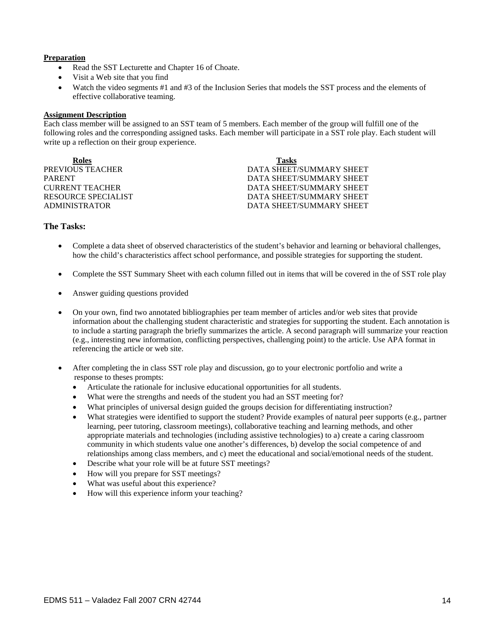#### **Preparation**

- Read the SST Lecturette and Chapter 16 of Choate.
- Visit a Web site that you find
- Watch the video segments #1 and #3 of the Inclusion Series that models the SST process and the elements of effective collaborative teaming.

#### **Assignment Description**

Each class member will be assigned to an SST team of 5 members. Each member of the group will fulfill one of the following roles and the corresponding assigned tasks. Each member will participate in a SST role play. Each student will write up a reflection on their group experience.

| Roles                  | <b>Tasks</b>             |
|------------------------|--------------------------|
| PREVIOUS TEACHER       | DATA SHEET/SUMMARY SHEET |
| <b>PARENT</b>          | DATA SHEET/SUMMARY SHEET |
| <b>CURRENT TEACHER</b> | DATA SHEET/SUMMARY SHEET |
| RESOURCE SPECIALIST    | DATA SHEET/SUMMARY SHEET |
| <b>ADMINISTRATOR</b>   | DATA SHEET/SUMMARY SHEET |

### **The Tasks:**

- Complete a data sheet of observed characteristics of the student's behavior and learning or behavioral challenges, how the child's characteristics affect school performance, and possible strategies for supporting the student.
- Complete the SST Summary Sheet with each column filled out in items that will be covered in the of SST role play
- Answer guiding questions provided
- On your own, find two annotated bibliographies per team member of articles and/or web sites that provide information about the challenging student characteristic and strategies for supporting the student. Each annotation is to include a starting paragraph the briefly summarizes the article. A second paragraph will summarize your reaction (e.g., interesting new information, conflicting perspectives, challenging point) to the article. Use APA format in referencing the article or web site.
- After completing the in class SST role play and discussion, go to your electronic portfolio and write a response to theses prompts:
	- Articulate the rationale for inclusive educational opportunities for all students.
	- What were the strengths and needs of the student you had an SST meeting for?
	- What principles of universal design guided the groups decision for differentiating instruction?
	- What strategies were identified to support the student? Provide examples of natural peer supports (e.g., partner learning, peer tutoring, classroom meetings), collaborative teaching and learning methods, and other appropriate materials and technologies (including assistive technologies) to a) create a caring classroom community in which students value one another's differences, b) develop the social competence of and relationships among class members, and c) meet the educational and social/emotional needs of the student.
	- Describe what your role will be at future SST meetings?
	- How will you prepare for SST meetings?
	- What was useful about this experience?
	- How will this experience inform your teaching?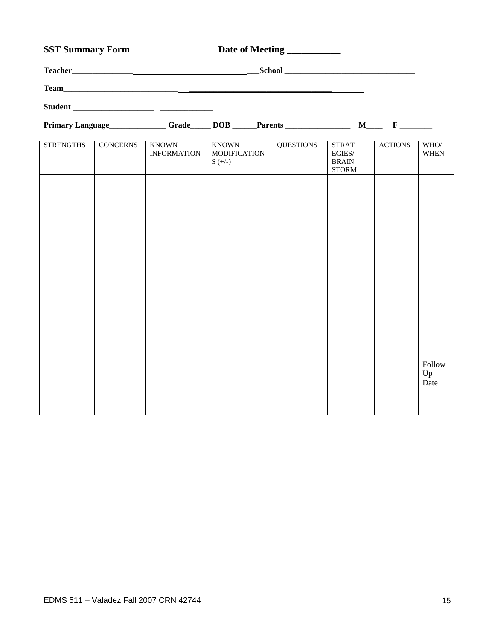## SST Summary Form Date of Meeting \_\_\_\_\_\_\_\_\_\_

| <b>Teacher</b> | <b>School</b> |  |
|----------------|---------------|--|
| <b>Team</b>    |               |  |
| <b>Student</b> |               |  |

**Primary Language\_\_\_\_\_\_\_\_\_\_\_\_\_\_ Grade\_\_\_\_\_ DOB \_\_\_\_\_\_Parents \_\_\_\_\_\_\_\_\_\_\_\_\_\_\_\_ M\_\_\_\_ F** \_\_\_\_\_\_\_\_

| <b>STRENGTHS</b> | <b>CONCERNS</b> | <b>KNOWN</b><br><b>INFORMATION</b> | KNOWN<br>MODIFICATION<br>$S (+/-)$ | <b>QUESTIONS</b> | <b>STRAT</b><br>$\mathop{\hbox{\rm EGL}}\nolimits(S/$<br>$\operatorname{BRAIN}$<br><b>STORM</b> | <b>ACTIONS</b> | WHO/<br>$\,$ WHEN |
|------------------|-----------------|------------------------------------|------------------------------------|------------------|-------------------------------------------------------------------------------------------------|----------------|-------------------|
|                  |                 |                                    |                                    |                  |                                                                                                 |                |                   |
|                  |                 |                                    |                                    |                  |                                                                                                 |                |                   |
|                  |                 |                                    |                                    |                  |                                                                                                 |                |                   |
|                  |                 |                                    |                                    |                  |                                                                                                 |                |                   |
|                  |                 |                                    |                                    |                  |                                                                                                 |                |                   |
|                  |                 |                                    |                                    |                  |                                                                                                 |                | Follow            |
|                  |                 |                                    |                                    |                  |                                                                                                 |                | Up<br>Date        |
|                  |                 |                                    |                                    |                  |                                                                                                 |                |                   |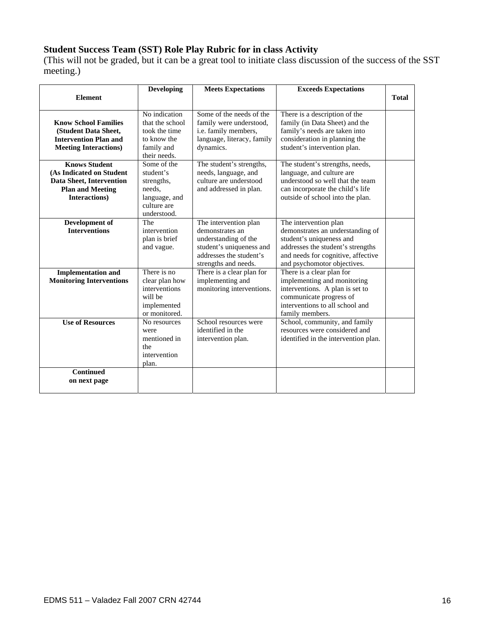## **Student Success Team (SST) Role Play Rubric for in class Activity**

(This will not be graded, but it can be a great tool to initiate class discussion of the success of the SST meeting.)

|                                                                                                                          | <b>Developing</b>                                                                               | <b>Meets Expectations</b>                                                                                                                       | <b>Exceeds Expectations</b>                                                                                                                                                                     |              |
|--------------------------------------------------------------------------------------------------------------------------|-------------------------------------------------------------------------------------------------|-------------------------------------------------------------------------------------------------------------------------------------------------|-------------------------------------------------------------------------------------------------------------------------------------------------------------------------------------------------|--------------|
| <b>Element</b>                                                                                                           |                                                                                                 |                                                                                                                                                 |                                                                                                                                                                                                 | <b>Total</b> |
| <b>Know School Families</b><br>(Student Data Sheet,<br><b>Intervention Plan and</b><br><b>Meeting Interactions)</b>      | No indication<br>that the school<br>took the time<br>to know the<br>family and<br>their needs.  | Some of the needs of the<br>family were understood,<br>i.e. family members,<br>language, literacy, family<br>dynamics.                          | There is a description of the<br>family (in Data Sheet) and the<br>family's needs are taken into<br>consideration in planning the<br>student's intervention plan.                               |              |
| <b>Knows Student</b><br>(As Indicated on Student<br>Data Sheet, Intervention<br><b>Plan and Meeting</b><br>Interactions) | Some of the<br>student's<br>strengths,<br>needs.<br>language, and<br>culture are<br>understood. | The student's strengths,<br>needs, language, and<br>culture are understood<br>and addressed in plan.                                            | The student's strengths, needs,<br>language, and culture are<br>understood so well that the team<br>can incorporate the child's life<br>outside of school into the plan.                        |              |
| Development of<br><b>Interventions</b>                                                                                   | The<br>intervention<br>plan is brief<br>and vague.                                              | The intervention plan<br>demonstrates an<br>understanding of the<br>student's uniqueness and<br>addresses the student's<br>strengths and needs. | The intervention plan<br>demonstrates an understanding of<br>student's uniqueness and<br>addresses the student's strengths<br>and needs for cognitive, affective<br>and psychomotor objectives. |              |
| <b>Implementation and</b><br><b>Monitoring Interventions</b>                                                             | There is no<br>clear plan how<br>interventions<br>will be<br>implemented<br>or monitored.       | There is a clear plan for<br>implementing and<br>monitoring interventions.                                                                      | There is a clear plan for<br>implementing and monitoring<br>interventions. A plan is set to<br>communicate progress of<br>interventions to all school and<br>family members.                    |              |
| <b>Use of Resources</b>                                                                                                  | No resources<br>were<br>mentioned in<br>the<br>intervention<br>plan.                            | School resources were<br>identified in the<br>intervention plan.                                                                                | School, community, and family<br>resources were considered and<br>identified in the intervention plan.                                                                                          |              |
| <b>Continued</b><br>on next page                                                                                         |                                                                                                 |                                                                                                                                                 |                                                                                                                                                                                                 |              |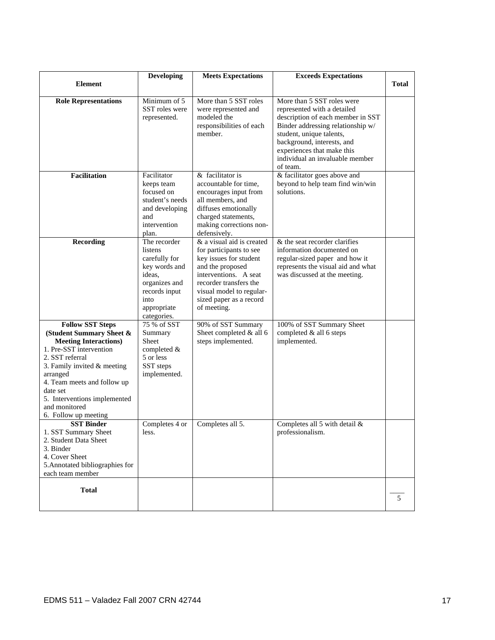|                                                                                                                                                                                                                                                                                                  | <b>Developing</b>                                                                                                                           | <b>Meets Expectations</b>                                                                                                                                                                                                   | <b>Exceeds Expectations</b>                                                                                                                                                                                                                                                |              |
|--------------------------------------------------------------------------------------------------------------------------------------------------------------------------------------------------------------------------------------------------------------------------------------------------|---------------------------------------------------------------------------------------------------------------------------------------------|-----------------------------------------------------------------------------------------------------------------------------------------------------------------------------------------------------------------------------|----------------------------------------------------------------------------------------------------------------------------------------------------------------------------------------------------------------------------------------------------------------------------|--------------|
| <b>Element</b>                                                                                                                                                                                                                                                                                   |                                                                                                                                             |                                                                                                                                                                                                                             |                                                                                                                                                                                                                                                                            | <b>Total</b> |
| <b>Role Representations</b>                                                                                                                                                                                                                                                                      | Minimum of 5<br>SST roles were<br>represented.                                                                                              | More than 5 SST roles<br>were represented and<br>modeled the<br>responsibilities of each<br>member.                                                                                                                         | More than 5 SST roles were<br>represented with a detailed<br>description of each member in SST<br>Binder addressing relationship w/<br>student, unique talents,<br>background, interests, and<br>experiences that make this<br>individual an invaluable member<br>of team. |              |
| <b>Facilitation</b>                                                                                                                                                                                                                                                                              | Facilitator<br>keeps team<br>focused on<br>student's needs<br>and developing<br>and<br>intervention<br>plan.                                | & facilitator is<br>accountable for time.<br>encourages input from<br>all members, and<br>diffuses emotionally<br>charged statements,<br>making corrections non-<br>defensively.                                            | & facilitator goes above and<br>beyond to help team find win/win<br>solutions.                                                                                                                                                                                             |              |
| <b>Recording</b>                                                                                                                                                                                                                                                                                 | The recorder<br>listens<br>carefully for<br>key words and<br>ideas.<br>organizes and<br>records input<br>into<br>appropriate<br>categories. | & a visual aid is created<br>for participants to see<br>key issues for student<br>and the proposed<br>interventions. A seat<br>recorder transfers the<br>visual model to regular-<br>sized paper as a record<br>of meeting. | $&$ the seat recorder clarifies<br>information documented on<br>regular-sized paper and how it<br>represents the visual aid and what<br>was discussed at the meeting.                                                                                                      |              |
| <b>Follow SST Steps</b><br>(Student Summary Sheet &<br><b>Meeting Interactions)</b><br>1. Pre-SST intervention<br>2. SST referral<br>3. Family invited & meeting<br>arranged<br>4. Team meets and follow up<br>date set<br>5. Interventions implemented<br>and monitored<br>6. Follow up meeting | 75 % of SST<br>Summary<br>Sheet<br>completed &<br>5 or less<br>SST steps<br>implemented.                                                    | 90% of SST Summary<br>Sheet completed & all 6<br>steps implemented.                                                                                                                                                         | 100% of SST Summary Sheet<br>completed & all 6 steps<br>implemented.                                                                                                                                                                                                       |              |
| <b>SST Binder</b><br>1. SST Summary Sheet<br>2. Student Data Sheet<br>3. Binder<br>4. Cover Sheet<br>5. Annotated bibliographies for<br>each team member                                                                                                                                         | Completes 4 or<br>less.                                                                                                                     | Completes all 5.                                                                                                                                                                                                            | Completes all 5 with detail &<br>professionalism.                                                                                                                                                                                                                          |              |
| <b>Total</b>                                                                                                                                                                                                                                                                                     |                                                                                                                                             |                                                                                                                                                                                                                             |                                                                                                                                                                                                                                                                            | 5            |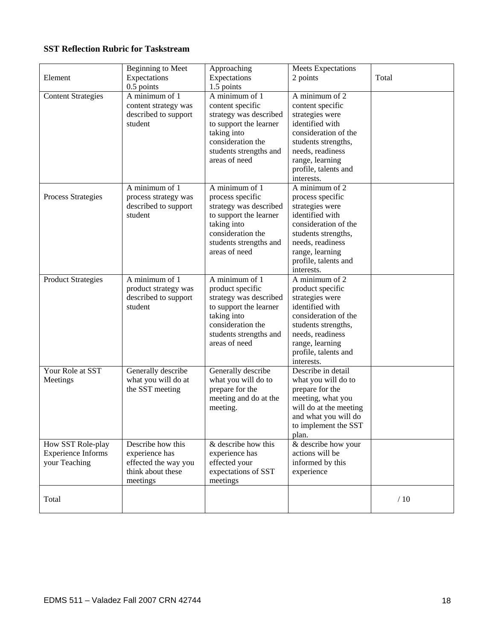## **SST Reflection Rubric for Taskstream**

| Element                                                         | Beginning to Meet<br>Expectations<br>0.5 points                                              | Approaching<br>Expectations<br>1.5 points                                                                                                                             | <b>Meets Expectations</b><br>2 points                                                                                                                                                                | Total |
|-----------------------------------------------------------------|----------------------------------------------------------------------------------------------|-----------------------------------------------------------------------------------------------------------------------------------------------------------------------|------------------------------------------------------------------------------------------------------------------------------------------------------------------------------------------------------|-------|
| <b>Content Strategies</b>                                       | A minimum of 1<br>content strategy was<br>described to support<br>student                    | A minimum of 1<br>content specific<br>strategy was described<br>to support the learner<br>taking into<br>consideration the<br>students strengths and<br>areas of need | A minimum of 2<br>content specific<br>strategies were<br>identified with<br>consideration of the<br>students strengths,<br>needs, readiness<br>range, learning<br>profile, talents and<br>interests. |       |
| Process Strategies                                              | A minimum of 1<br>process strategy was<br>described to support<br>student                    | A minimum of 1<br>process specific<br>strategy was described<br>to support the learner<br>taking into<br>consideration the<br>students strengths and<br>areas of need | A minimum of 2<br>process specific<br>strategies were<br>identified with<br>consideration of the<br>students strengths,<br>needs, readiness<br>range, learning<br>profile, talents and<br>interests. |       |
| <b>Product Strategies</b>                                       | A minimum of 1<br>product strategy was<br>described to support<br>student                    | A minimum of 1<br>product specific<br>strategy was described<br>to support the learner<br>taking into<br>consideration the<br>students strengths and<br>areas of need | A minimum of 2<br>product specific<br>strategies were<br>identified with<br>consideration of the<br>students strengths,<br>needs, readiness<br>range, learning<br>profile, talents and<br>interests. |       |
| Your Role at SST<br>Meetings                                    | Generally describe<br>what you will do at<br>the SST meeting                                 | Generally describe<br>what you will do to<br>prepare for the<br>meeting and do at the<br>meeting.                                                                     | Describe in detail<br>what you will do to<br>prepare for the<br>meeting, what you<br>will do at the meeting<br>and what you will do<br>to implement the SST<br>plan.                                 |       |
| How SST Role-play<br><b>Experience Informs</b><br>your Teaching | Describe how this<br>experience has<br>effected the way you<br>think about these<br>meetings | & describe how this<br>experience has<br>effected your<br>expectations of SST<br>meetings                                                                             | & describe how your<br>actions will be<br>informed by this<br>experience                                                                                                                             |       |
| Total                                                           |                                                                                              |                                                                                                                                                                       |                                                                                                                                                                                                      | /10   |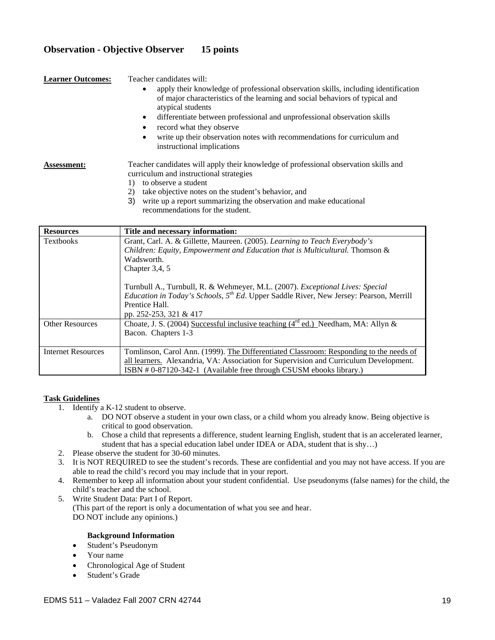## **Observation - Objective Observer 15 points**

**Learner Outcomes:** Teacher candidates will:

- apply their knowledge of professional observation skills, including identification of major characteristics of the learning and social behaviors of typical and atypical students
- differentiate between professional and unprofessional observation skills
- record what they observe
- write up their observation notes with recommendations for curriculum and instructional implications

**Assessment:** Teacher candidates will apply their knowledge of professional observation skills and curriculum and instructional strategies

- 1) to observe a student
- 2) take objective notes on the student's behavior, and
- 3) write up a report summarizing the observation and make educational recommendations for the student.

| <b>Resources</b>          | Title and necessary information:                                                                                                                                                                                                                                                                                                                                                                                                      |
|---------------------------|---------------------------------------------------------------------------------------------------------------------------------------------------------------------------------------------------------------------------------------------------------------------------------------------------------------------------------------------------------------------------------------------------------------------------------------|
| <b>Textbooks</b>          | Grant, Carl. A. & Gillette, Maureen. (2005). Learning to Teach Everybody's<br>Children: Equity, Empowerment and Education that is Multicultural. Thomson &<br>Wadsworth.<br>Chapter $3,4,5$<br>Turnbull A., Turnbull, R. & Wehmeyer, M.L. (2007). Exceptional Lives: Special<br><i>Education in Today's Schools,</i> $5^{th}$ <i>Ed.</i> Upper Saddle River, New Jersey: Pearson, Merrill<br>Prentice Hall.<br>pp. 252-253, 321 & 417 |
| <b>Other Resources</b>    | Choate, J. S. (2004) Successful inclusive teaching ( $4^{rd}$ ed.) Needham, MA: Allyn &<br>Bacon. Chapters 1-3                                                                                                                                                                                                                                                                                                                        |
| <b>Internet Resources</b> | Tomlinson, Carol Ann. (1999). The Differentiated Classroom: Responding to the needs of<br>all learners. Alexandria, VA: Association for Supervision and Curriculum Development.<br>ISBN #0-87120-342-1 (Available free through CSUSM ebooks library.)                                                                                                                                                                                 |

#### **Task Guidelines**

- 1. Identify a K-12 student to observe.
	- a. DO NOT observe a student in your own class, or a child whom you already know. Being objective is critical to good observation.
	- b. Chose a child that represents a difference, student learning English, student that is an accelerated learner, student that has a special education label under IDEA or ADA, student that is shy…)
- 2. Please observe the student for 30-60 minutes.
- 3. It is NOT REQUIRED to see the student's records. These are confidential and you may not have access. If you are able to read the child's record you may include that in your report.
- 4. Remember to keep all information about your student confidential. Use pseudonyms (false names) for the child, the child's teacher and the school.
- 5. Write Student Data: Part I of Report. (This part of the report is only a documentation of what you see and hear. DO NOT include any opinions.)

#### **Background Information**

- Student's Pseudonym
- Your name
- Chronological Age of Student
- Student's Grade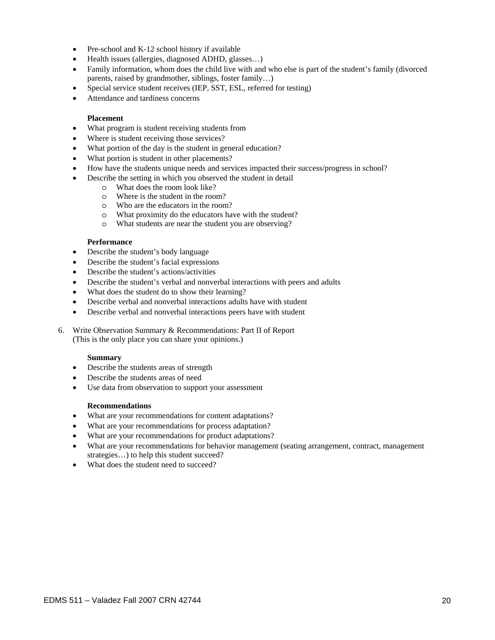- Pre-school and K-12 school history if available
- Health issues (allergies, diagnosed ADHD, glasses…)
- Family information, whom does the child live with and who else is part of the student's family (divorced parents, raised by grandmother, siblings, foster family…)
- Special service student receives (IEP, SST, ESL, referred for testing)
- Attendance and tardiness concerns

#### **Placement**

- What program is student receiving students from
- Where is student receiving those services?
- What portion of the day is the student in general education?
- What portion is student in other placements?
- How have the students unique needs and services impacted their success/progress in school?
- Describe the setting in which you observed the student in detail
	- o What does the room look like?
	- o Where is the student in the room?
	- o Who are the educators in the room?
	- o What proximity do the educators have with the student?
	- o What students are near the student you are observing?

#### **Performance**

- Describe the student's body language
- Describe the student's facial expressions
- Describe the student's actions/activities
- Describe the student's verbal and nonverbal interactions with peers and adults
- What does the student do to show their learning?
- Describe verbal and nonverbal interactions adults have with student
- Describe verbal and nonverbal interactions peers have with student

6. Write Observation Summary & Recommendations: Part II of Report (This is the only place you can share your opinions.)

#### **Summary**

- Describe the students areas of strength
- Describe the students areas of need
- Use data from observation to support your assessment

#### **Recommendations**

- What are your recommendations for content adaptations?
- What are your recommendations for process adaptation?
- What are your recommendations for product adaptations?
- What are your recommendations for behavior management (seating arrangement, contract, management strategies…) to help this student succeed?
- What does the student need to succeed?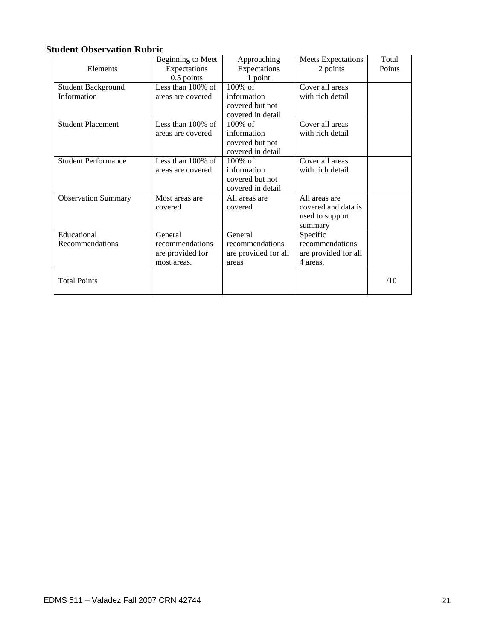## **Student Observation Rubric**

|                            | Beginning to Meet    | Approaching          | <b>Meets Expectations</b> | Total  |
|----------------------------|----------------------|----------------------|---------------------------|--------|
| Elements                   | Expectations         | Expectations         | 2 points                  | Points |
|                            | $0.5$ points         | 1 point              |                           |        |
| <b>Student Background</b>  | Less than $100\%$ of | $100\%$ of           | Cover all areas           |        |
| Information                | areas are covered    | information          | with rich detail          |        |
|                            |                      | covered but not      |                           |        |
|                            |                      | covered in detail    |                           |        |
| <b>Student Placement</b>   | Less than $100\%$ of | $100\%$ of           | Cover all areas           |        |
|                            | areas are covered    | information          | with rich detail          |        |
|                            |                      | covered but not      |                           |        |
|                            |                      | covered in detail    |                           |        |
| <b>Student Performance</b> | Less than $100\%$ of | $100\%$ of           | Cover all areas           |        |
|                            | areas are covered    | information          | with rich detail          |        |
|                            |                      | covered but not      |                           |        |
|                            |                      | covered in detail    |                           |        |
| <b>Observation Summary</b> | Most areas are       | All areas are        | All areas are             |        |
|                            | covered              | covered              | covered and data is       |        |
|                            |                      |                      | used to support           |        |
|                            |                      |                      | summary                   |        |
| Educational                | General              | General              | Specific                  |        |
| Recommendations            | recommendations      | recommendations      | recommendations           |        |
|                            | are provided for     | are provided for all | are provided for all      |        |
|                            | most areas.          | areas                | 4 areas.                  |        |
|                            |                      |                      |                           |        |
| <b>Total Points</b>        |                      |                      |                           | /10    |
|                            |                      |                      |                           |        |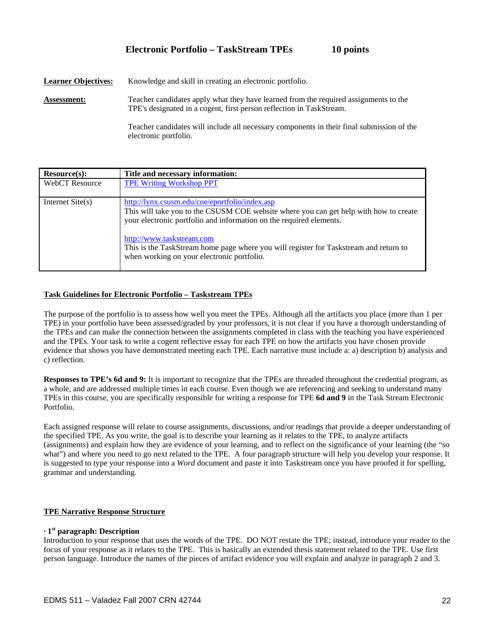## **Electronic Portfolio – TaskStream TPEs 10 points**

**Learner Objectives:** Knowledge and skill in creating an electronic portfolio.

**Assessment:** Teacher candidates apply what they have learned from the required assignments to the TPE's designated in a cogent, first person reflection in TaskStream.

> Teacher candidates will include all necessary components in their final submission of the electronic portfolio.

| Resource(s):          | Title and necessary information:                                                                                                                                                                                                                                                                                                                                                   |
|-----------------------|------------------------------------------------------------------------------------------------------------------------------------------------------------------------------------------------------------------------------------------------------------------------------------------------------------------------------------------------------------------------------------|
| <b>WebCT</b> Resource | <b>TPE Writing Workshop PPT</b>                                                                                                                                                                                                                                                                                                                                                    |
| Internet $Site(s)$    | http://lynx.csusm.edu/coe/eportfolio/index.asp<br>This will take you to the CSUSM COE website where you can get help with how to create<br>your electronic portfolio and information on the required elements.<br>http://www.taskstream.com<br>This is the TaskStream home page where you will register for Taskstream and return to<br>when working on your electronic portfolio. |

#### **Task Guidelines for Electronic Portfolio – Taskstream TPEs**

The purpose of the portfolio is to assess how well you meet the TPEs. Although all the artifacts you place (more than 1 per TPE) in your portfolio have been assessed/graded by your professors, it is not clear if you have a thorough understanding of the TPEs and can make the connection between the assignments completed in class with the teaching you have experienced and the TPEs. Your task to write a cogent reflective essay for each TPE on how the artifacts you have chosen provide evidence that shows you have demonstrated meeting each TPE. Each narrative must include a: a) description b) analysis and c) reflection.

**Responses to TPE's 6d and 9:** It is important to recognize that the TPEs are threaded throughout the credential program, as a whole, and are addressed multiple times in each course. Even though we are referencing and seeking to understand many TPEs in this course, you are specifically responsible for writing a response for TPE **6d and 9** in the Task Stream Electronic Portfolio.

Each assigned response will relate to course assignments, discussions, and/or readings that provide a deeper understanding of the specified TPE. As you write, the goal is to describe your learning as it relates to the TPE, to analyze artifacts (assignments) and explain how they are evidence of your learning, and to reflect on the significance of your learning (the "so what") and where you need to go next related to the TPE. A four paragraph structure will help you develop your response. It is suggested to type your response into a *Word* document and paste it into Taskstream once you have proofed it for spelling, grammar and understanding.

#### **TPE Narrative Response Structure**

#### **· 1st paragraph: Description**

Introduction to your response that uses the words of the TPE. DO NOT restate the TPE; instead, introduce your reader to the focus of your response as it relates to the TPE. This is basically an extended thesis statement related to the TPE. Use first person language. Introduce the names of the pieces of artifact evidence you will explain and analyze in paragraph 2 and 3.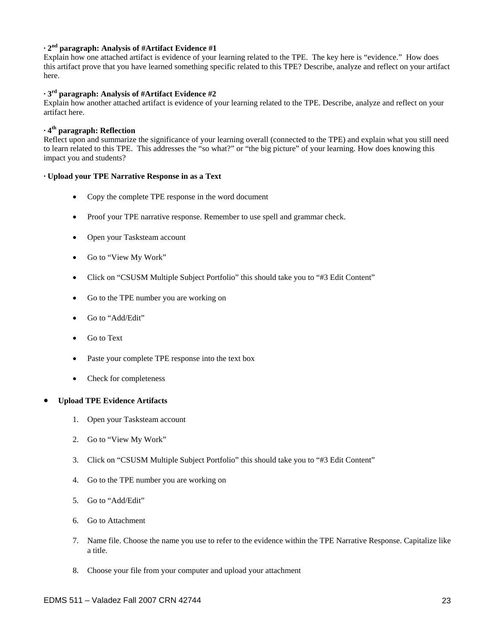### **· 2nd paragraph: Analysis of #Artifact Evidence #1**

Explain how one attached artifact is evidence of your learning related to the TPE. The key here is "evidence." How does this artifact prove that you have learned something specific related to this TPE? Describe, analyze and reflect on your artifact here.

#### **· 3rd paragraph: Analysis of #Artifact Evidence #2**

Explain how another attached artifact is evidence of your learning related to the TPE. Describe, analyze and reflect on your artifact here.

## **· 4th paragraph: Reflection**

Reflect upon and summarize the significance of your learning overall (connected to the TPE) and explain what you still need to learn related to this TPE. This addresses the "so what?" or "the big picture" of your learning. How does knowing this impact you and students?

#### **· Upload your TPE Narrative Response in as a Text**

- Copy the complete TPE response in the word document
- Proof your TPE narrative response. Remember to use spell and grammar check.
- Open your Tasksteam account
- Go to "View My Work"
- Click on "CSUSM Multiple Subject Portfolio" this should take you to "#3 Edit Content"
- Go to the TPE number you are working on
- Go to "Add/Edit"
- Go to Text
- Paste your complete TPE response into the text box
- Check for completeness

#### • **Upload TPE Evidence Artifacts**

- 1. Open your Tasksteam account
- 2. Go to "View My Work"
- 3. Click on "CSUSM Multiple Subject Portfolio" this should take you to "#3 Edit Content"
- 4. Go to the TPE number you are working on
- 5. Go to "Add/Edit"
- 6. Go to Attachment
- 7. Name file. Choose the name you use to refer to the evidence within the TPE Narrative Response. Capitalize like a title.
- 8. Choose your file from your computer and upload your attachment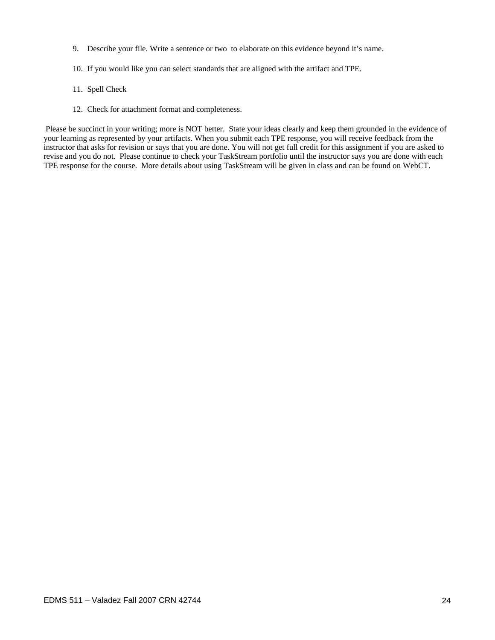- 9. Describe your file. Write a sentence or two to elaborate on this evidence beyond it's name.
- 10. If you would like you can select standards that are aligned with the artifact and TPE.
- 11. Spell Check
- 12. Check for attachment format and completeness.

 Please be succinct in your writing; more is NOT better. State your ideas clearly and keep them grounded in the evidence of your learning as represented by your artifacts. When you submit each TPE response, you will receive feedback from the instructor that asks for revision or says that you are done. You will not get full credit for this assignment if you are asked to revise and you do not. Please continue to check your TaskStream portfolio until the instructor says you are done with each TPE response for the course. More details about using TaskStream will be given in class and can be found on WebCT.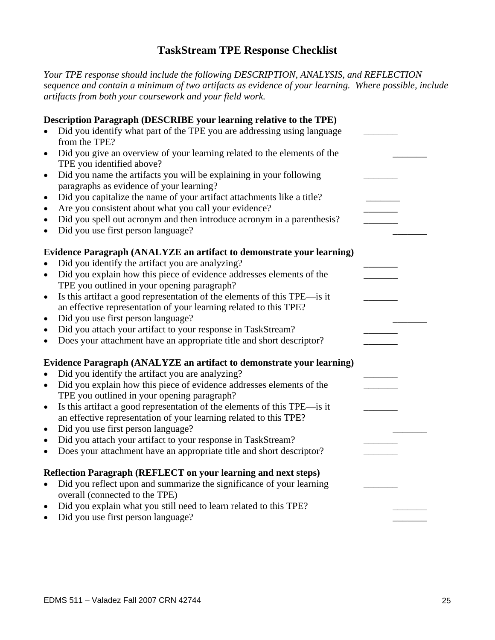## **TaskStream TPE Response Checklist**

*Your TPE response should include the following DESCRIPTION, ANALYSIS, and REFLECTION sequence and contain a minimum of two artifacts as evidence of your learning. Where possible, include artifacts from both your coursework and your field work.* 

| Description Paragraph (DESCRIBE your learning relative to the TPE)                                                           |  |
|------------------------------------------------------------------------------------------------------------------------------|--|
| Did you identify what part of the TPE you are addressing using language                                                      |  |
| from the TPE?                                                                                                                |  |
| Did you give an overview of your learning related to the elements of the<br>$\bullet$                                        |  |
| TPE you identified above?                                                                                                    |  |
| Did you name the artifacts you will be explaining in your following<br>$\bullet$<br>paragraphs as evidence of your learning? |  |
| Did you capitalize the name of your artifact attachments like a title?<br>$\bullet$                                          |  |
| Are you consistent about what you call your evidence?<br>$\bullet$                                                           |  |
| Did you spell out acronym and then introduce acronym in a parenthesis?<br>$\bullet$                                          |  |
| Did you use first person language?<br>$\bullet$                                                                              |  |
|                                                                                                                              |  |
| Evidence Paragraph (ANALYZE an artifact to demonstrate your learning)                                                        |  |
| Did you identify the artifact you are analyzing?<br>$\bullet$                                                                |  |
| Did you explain how this piece of evidence addresses elements of the<br>$\bullet$                                            |  |
| TPE you outlined in your opening paragraph?                                                                                  |  |
| Is this artifact a good representation of the elements of this TPE—is it<br>$\bullet$                                        |  |
| an effective representation of your learning related to this TPE?<br>Did you use first person language?<br>$\bullet$         |  |
| Did you attach your artifact to your response in TaskStream?<br>$\bullet$                                                    |  |
| Does your attachment have an appropriate title and short descriptor?<br>$\bullet$                                            |  |
|                                                                                                                              |  |
| Evidence Paragraph (ANALYZE an artifact to demonstrate your learning)                                                        |  |
| Did you identify the artifact you are analyzing?<br>$\bullet$                                                                |  |
| Did you explain how this piece of evidence addresses elements of the<br>$\bullet$                                            |  |
| TPE you outlined in your opening paragraph?                                                                                  |  |
| Is this artifact a good representation of the elements of this TPE—is it<br>$\bullet$                                        |  |
| an effective representation of your learning related to this TPE?<br>Did you use first person language?                      |  |
| $\bullet$<br>Did you attach your artifact to your response in TaskStream?<br>$\bullet$                                       |  |
| Does your attachment have an appropriate title and short descriptor?<br>$\bullet$                                            |  |
|                                                                                                                              |  |
| Reflection Paragraph (REFLECT on your learning and next steps)                                                               |  |
| Did you reflect upon and summarize the significance of your learning<br>$\bullet$                                            |  |
| overall (connected to the TPE)                                                                                               |  |
| Did you explain what you still need to learn related to this TPE?<br>$\bullet$                                               |  |
| Did you use first person language?<br>$\bullet$                                                                              |  |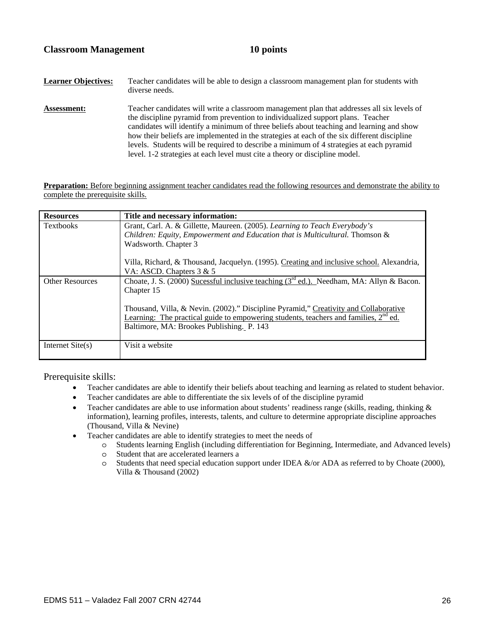**Learner Objectives:** Teacher candidates will be able to design a classroom management plan for students with diverse needs. **Assessment:** Teacher candidates will write a classroom management plan that addresses all six levels of the discipline pyramid from prevention to individualized support plans. Teacher candidates will identify a minimum of three beliefs about teaching and learning and show how their beliefs are implemented in the strategies at each of the six different discipline levels. Students will be required to describe a minimum of 4 strategies at each pyramid level. 1-2 strategies at each level must cite a theory or discipline model.

**Preparation:** Before beginning assignment teacher candidates read the following resources and demonstrate the ability to complete the prerequisite skills.

| <b>Resources</b>       | Title and necessary information:                                                                     |  |  |  |  |
|------------------------|------------------------------------------------------------------------------------------------------|--|--|--|--|
| <b>Textbooks</b>       | Grant, Carl. A. & Gillette, Maureen. (2005). Learning to Teach Everybody's                           |  |  |  |  |
|                        | Children: Equity, Empowerment and Education that is Multicultural. Thomson &<br>Wadsworth. Chapter 3 |  |  |  |  |
|                        |                                                                                                      |  |  |  |  |
|                        | Villa, Richard, & Thousand, Jacquelyn. (1995). Creating and inclusive school. Alexandria,            |  |  |  |  |
|                        | VA: ASCD. Chapters 3 & 5                                                                             |  |  |  |  |
| <b>Other Resources</b> | Choate, J. S. (2000) Sucessful inclusive teaching ( $3^{rd}$ ed.). Needham, MA: Allyn & Bacon.       |  |  |  |  |
|                        | Chapter 15                                                                                           |  |  |  |  |
|                        | Thousand, Villa, & Nevin. (2002)." Discipline Pyramid," Creativity and Collaborative                 |  |  |  |  |
|                        | Learning: The practical guide to empowering students, teachers and families, 2 <sup>nd</sup> ed.     |  |  |  |  |
|                        | Baltimore, MA: Brookes Publishing. P. 143                                                            |  |  |  |  |
|                        |                                                                                                      |  |  |  |  |
| Internet $Site(s)$     | Visit a website                                                                                      |  |  |  |  |
|                        |                                                                                                      |  |  |  |  |

Prerequisite skills:

- Teacher candidates are able to identify their beliefs about teaching and learning as related to student behavior.
- Teacher candidates are able to differentiate the six levels of of the discipline pyramid
- Teacher candidates are able to use information about students' readiness range (skills, reading, thinking  $\&$ information), learning profiles, interests, talents, and culture to determine appropriate discipline approaches (Thousand, Villa & Nevine)
- Teacher candidates are able to identify strategies to meet the needs of
	- o Students learning English (including differentiation for Beginning, Intermediate, and Advanced levels) o Student that are accelerated learners a
	- $\circ$  Students that need special education support under IDEA &/or ADA as referred to by Choate (2000), Villa & Thousand (2002)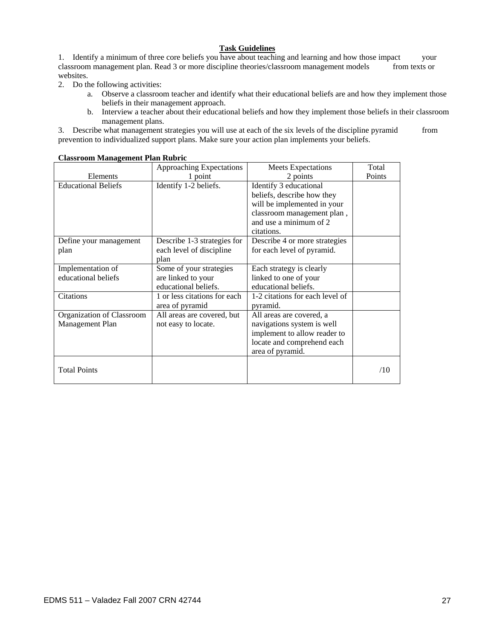### **Task Guidelines**

1. Identify a minimum of three core beliefs you have about teaching and learning and how those impact your classroom management plan. Read 3 or more discipline theories/classroom management models from texts or websites.

- 2. Do the following activities:
	- a. Observe a classroom teacher and identify what their educational beliefs are and how they implement those beliefs in their management approach.
	- b. Interview a teacher about their educational beliefs and how they implement those beliefs in their classroom management plans.

3. Describe what management strategies you will use at each of the six levels of the discipline pyramid from prevention to individualized support plans. Make sure your action plan implements your beliefs.

|                            | Approaching Expectations     | <b>Meets Expectations</b>       | Total  |
|----------------------------|------------------------------|---------------------------------|--------|
| Elements                   | 1 point                      | 2 points                        | Points |
| <b>Educational Beliefs</b> | Identify 1-2 beliefs.        | Identify 3 educational          |        |
|                            |                              | beliefs, describe how they      |        |
|                            |                              | will be implemented in your     |        |
|                            |                              | classroom management plan,      |        |
|                            |                              | and use a minimum of 2          |        |
|                            |                              | citations.                      |        |
| Define your management     | Describe 1-3 strategies for  | Describe 4 or more strategies   |        |
| plan                       | each level of discipline     | for each level of pyramid.      |        |
|                            | plan                         |                                 |        |
| Implementation of          | Some of your strategies      | Each strategy is clearly        |        |
| educational beliefs        | are linked to your           | linked to one of your           |        |
|                            | educational beliefs.         | educational beliefs.            |        |
| Citations                  | 1 or less citations for each | 1-2 citations for each level of |        |
|                            | area of pyramid              | pyramid.                        |        |
| Organization of Classroom  | All areas are covered, but   | All areas are covered, a        |        |
| Management Plan            | not easy to locate.          | navigations system is well      |        |
|                            |                              | implement to allow reader to    |        |
|                            |                              | locate and comprehend each      |        |
|                            |                              | area of pyramid.                |        |
|                            |                              |                                 |        |
| <b>Total Points</b>        |                              |                                 | /10    |
|                            |                              |                                 |        |

#### **Classroom Management Plan Rubric**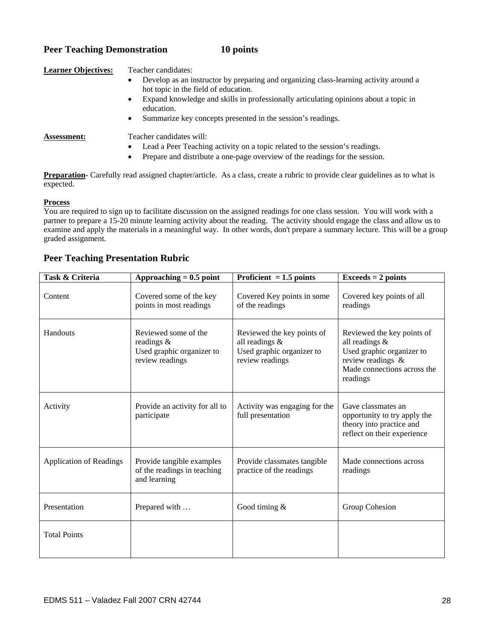## **Peer Teaching Demonstration 10 points**

## **Learner Objectives:** Teacher candidates: • Develop as an instructor by preparing and organizing class-learning activity around a hot topic in the field of education. • Expand knowledge and skills in professionally articulating opinions about a topic in education. • Summarize key concepts presented in the session's readings. **Assessment:** Teacher candidates will: • Lead a Peer Teaching activity on a topic related to the session's readings. • Prepare and distribute a one-page overview of the readings for the session. **Preparation**- Carefully read assigned chapter/article. As a class, create a rubric to provide clear guidelines as to what is

#### **Process**

expected.

You are required to sign up to facilitate discussion on the assigned readings for one class session. You will work with a partner to prepare a 15-20 minute learning activity about the reading. The activity should engage the class and allow us to examine and apply the materials in a meaningful way. In other words, don't prepare a summary lecture. This will be a group graded assignment.

## **Peer Teaching Presentation Rubric**

| Task & Criteria                | Approaching $= 0.5$ point                                                             | Proficient $= 1.5$ points                                                                    | $Exceeds = 2 points$                                                                                                                      |
|--------------------------------|---------------------------------------------------------------------------------------|----------------------------------------------------------------------------------------------|-------------------------------------------------------------------------------------------------------------------------------------------|
| Content                        | Covered some of the key<br>points in most readings                                    | Covered Key points in some<br>of the readings                                                | Covered key points of all<br>readings                                                                                                     |
| Handouts                       | Reviewed some of the<br>readings $\&$<br>Used graphic organizer to<br>review readings | Reviewed the key points of<br>all readings &<br>Used graphic organizer to<br>review readings | Reviewed the key points of<br>all readings &<br>Used graphic organizer to<br>review readings &<br>Made connections across the<br>readings |
| Activity                       | Provide an activity for all to<br>participate                                         | Activity was engaging for the<br>full presentation                                           | Gave classmates an<br>opportunity to try apply the<br>theory into practice and<br>reflect on their experience                             |
| <b>Application of Readings</b> | Provide tangible examples<br>of the readings in teaching<br>and learning              | Provide classmates tangible<br>practice of the readings                                      | Made connections across<br>readings                                                                                                       |
| Presentation                   | Prepared with                                                                         | Good timing $&$                                                                              | Group Cohesion                                                                                                                            |
| <b>Total Points</b>            |                                                                                       |                                                                                              |                                                                                                                                           |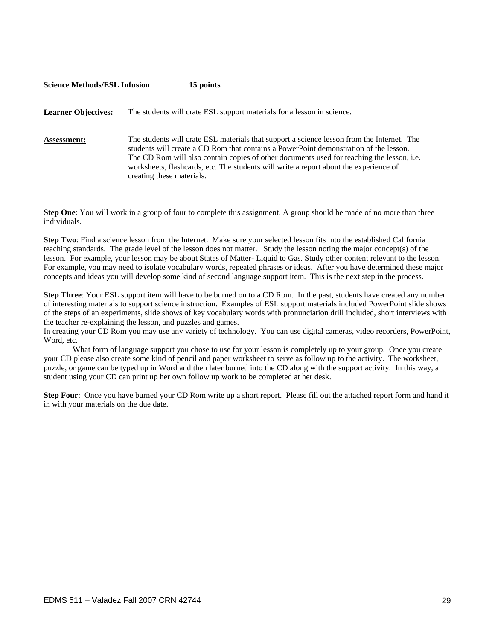# **Science Methods/ESL Infusion 15 points Learner Objectives:** The students will crate ESL support materials for a lesson in science. **Assessment:** The students will crate ESL materials that support a science lesson from the Internet. The students will create a CD Rom that contains a PowerPoint demonstration of the lesson. The CD Rom will also contain copies of other documents used for teaching the lesson, i.e. worksheets, flashcards, etc. The students will write a report about the experience of creating these materials.

**Step One**: You will work in a group of four to complete this assignment. A group should be made of no more than three individuals.

**Step Two**: Find a science lesson from the Internet. Make sure your selected lesson fits into the established California teaching standards. The grade level of the lesson does not matter. Study the lesson noting the major concept(s) of the lesson. For example, your lesson may be about States of Matter- Liquid to Gas. Study other content relevant to the lesson. For example, you may need to isolate vocabulary words, repeated phrases or ideas. After you have determined these major concepts and ideas you will develop some kind of second language support item. This is the next step in the process.

**Step Three**: Your ESL support item will have to be burned on to a CD Rom. In the past, students have created any number of interesting materials to support science instruction. Examples of ESL support materials included PowerPoint slide shows of the steps of an experiments, slide shows of key vocabulary words with pronunciation drill included, short interviews with the teacher re-explaining the lesson, and puzzles and games.

In creating your CD Rom you may use any variety of technology. You can use digital cameras, video recorders, PowerPoint, Word, etc.

What form of language support you chose to use for your lesson is completely up to your group. Once you create your CD please also create some kind of pencil and paper worksheet to serve as follow up to the activity. The worksheet, puzzle, or game can be typed up in Word and then later burned into the CD along with the support activity. In this way, a student using your CD can print up her own follow up work to be completed at her desk.

**Step Four**: Once you have burned your CD Rom write up a short report. Please fill out the attached report form and hand it in with your materials on the due date.